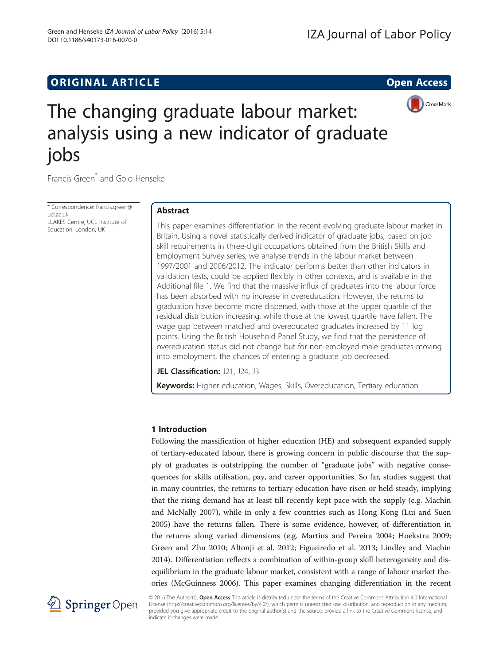## **ORIGINAL ARTICLE CONSERVANCE IN A LOCAL CONSERVANCE IN A LOCAL CONSERVANCE IN A LOCAL CONSERVANCE IN A LOCAL CONSERVANCE IN A LOCAL CONSERVANCE IN A LOCAL CONSERVANCE IN A LOCAL CONSERVANCE IN A LOCAL CONSERVANCE IN A L**



# The changing graduate labour market: analysis using a new indicator of graduate jobs

Francis Green\* and Golo Henseke

\* Correspondence: [francis.green@](mailto:francis.green@ucl.ac.uk) [ucl.ac.uk](mailto:francis.green@ucl.ac.uk) LLAKES Centre, UCL Institute of Education, London, UK

#### Abstract

This paper examines differentiation in the recent evolving graduate labour market in Britain. Using a novel statistically derived indicator of graduate jobs, based on job skill requirements in three-digit occupations obtained from the British Skills and Employment Survey series, we analyse trends in the labour market between 1997/2001 and 2006/2012. The indicator performs better than other indicators in validation tests, could be applied flexibly in other contexts, and is available in the Additional file 1. We find that the massive influx of graduates into the labour force has been absorbed with no increase in overeducation. However, the returns to graduation have become more dispersed, with those at the upper quartile of the residual distribution increasing, while those at the lowest quartile have fallen. The wage gap between matched and overeducated graduates increased by 11 log points. Using the British Household Panel Study, we find that the persistence of overeducation status did not change but for non-employed male graduates moving into employment, the chances of entering a graduate job decreased.

JEL Classification: J21, J24, J3

Keywords: Higher education, Wages, Skills, Overeducation, Tertiary education

#### 1 Introduction

Following the massification of higher education (HE) and subsequent expanded supply of tertiary-educated labour, there is growing concern in public discourse that the supply of graduates is outstripping the number of "graduate jobs" with negative consequences for skills utilisation, pay, and career opportunities. So far, studies suggest that in many countries, the returns to tertiary education have risen or held steady, implying that the rising demand has at least till recently kept pace with the supply (e.g. Machin and McNally [2007\)](#page-23-0), while in only a few countries such as Hong Kong (Lui and Suen [2005](#page-23-0)) have the returns fallen. There is some evidence, however, of differentiation in the returns along varied dimensions (e.g. Martins and Pereira [2004;](#page-23-0) Hoekstra [2009](#page-23-0); Green and Zhu [2010](#page-23-0); Altonji et al. [2012](#page-22-0); Figueiredo et al. [2013](#page-23-0); Lindley and Machin [2014](#page-23-0)). Differentiation reflects a combination of within-group skill heterogeneity and disequilibrium in the graduate labour market, consistent with a range of labour market theories (McGuinness [2006\)](#page-23-0). This paper examines changing differentiation in the recent



© 2016 The Author(s). Open Access This article is distributed under the terms of the Creative Commons Attribution 4.0 International License [\(http://creativecommons.org/licenses/by/4.0/](http://creativecommons.org/licenses/by/4.0/)), which permits unrestricted use, distribution, and reproduction in any medium, provided you give appropriate credit to the original author(s) and the source, provide a link to the Creative Commons license, and indicate if changes were made.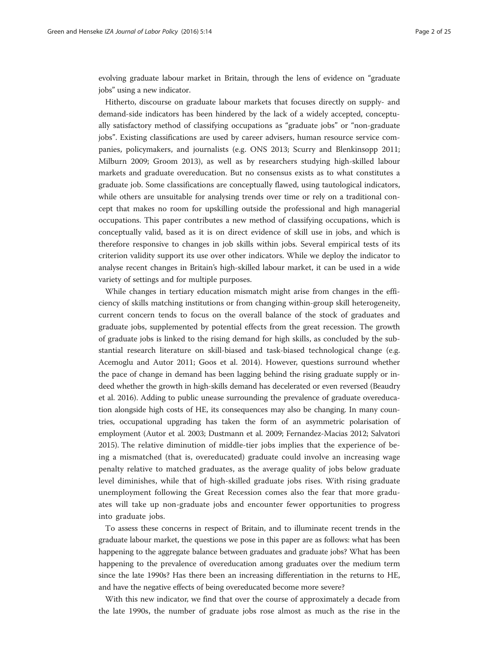evolving graduate labour market in Britain, through the lens of evidence on "graduate jobs" using a new indicator.

Hitherto, discourse on graduate labour markets that focuses directly on supply- and demand-side indicators has been hindered by the lack of a widely accepted, conceptually satisfactory method of classifying occupations as "graduate jobs" or "non-graduate jobs". Existing classifications are used by career advisers, human resource service companies, policymakers, and journalists (e.g. ONS [2013](#page-23-0); Scurry and Blenkinsopp [2011](#page-24-0); Milburn [2009;](#page-23-0) Groom [2013\)](#page-23-0), as well as by researchers studying high-skilled labour markets and graduate overeducation. But no consensus exists as to what constitutes a graduate job. Some classifications are conceptually flawed, using tautological indicators, while others are unsuitable for analysing trends over time or rely on a traditional concept that makes no room for upskilling outside the professional and high managerial occupations. This paper contributes a new method of classifying occupations, which is conceptually valid, based as it is on direct evidence of skill use in jobs, and which is therefore responsive to changes in job skills within jobs. Several empirical tests of its criterion validity support its use over other indicators. While we deploy the indicator to analyse recent changes in Britain's high-skilled labour market, it can be used in a wide variety of settings and for multiple purposes.

While changes in tertiary education mismatch might arise from changes in the efficiency of skills matching institutions or from changing within-group skill heterogeneity, current concern tends to focus on the overall balance of the stock of graduates and graduate jobs, supplemented by potential effects from the great recession. The growth of graduate jobs is linked to the rising demand for high skills, as concluded by the substantial research literature on skill-biased and task-biased technological change (e.g. Acemoglu and Autor [2011;](#page-22-0) Goos et al. [2014\)](#page-23-0). However, questions surround whether the pace of change in demand has been lagging behind the rising graduate supply or indeed whether the growth in high-skills demand has decelerated or even reversed (Beaudry et al. [2016\)](#page-22-0). Adding to public unease surrounding the prevalence of graduate overeducation alongside high costs of HE, its consequences may also be changing. In many countries, occupational upgrading has taken the form of an asymmetric polarisation of employment (Autor et al. [2003](#page-22-0); Dustmann et al. [2009](#page-22-0); Fernandez-Macias [2012;](#page-23-0) Salvatori [2015\)](#page-24-0). The relative diminution of middle-tier jobs implies that the experience of being a mismatched (that is, overeducated) graduate could involve an increasing wage penalty relative to matched graduates, as the average quality of jobs below graduate level diminishes, while that of high-skilled graduate jobs rises. With rising graduate unemployment following the Great Recession comes also the fear that more graduates will take up non-graduate jobs and encounter fewer opportunities to progress into graduate jobs.

To assess these concerns in respect of Britain, and to illuminate recent trends in the graduate labour market, the questions we pose in this paper are as follows: what has been happening to the aggregate balance between graduates and graduate jobs? What has been happening to the prevalence of overeducation among graduates over the medium term since the late 1990s? Has there been an increasing differentiation in the returns to HE, and have the negative effects of being overeducated become more severe?

With this new indicator, we find that over the course of approximately a decade from the late 1990s, the number of graduate jobs rose almost as much as the rise in the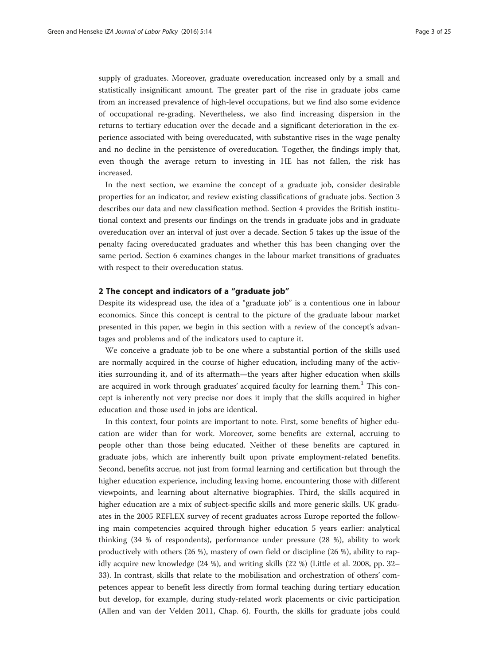<span id="page-2-0"></span>supply of graduates. Moreover, graduate overeducation increased only by a small and statistically insignificant amount. The greater part of the rise in graduate jobs came from an increased prevalence of high-level occupations, but we find also some evidence of occupational re-grading. Nevertheless, we also find increasing dispersion in the returns to tertiary education over the decade and a significant deterioration in the experience associated with being overeducated, with substantive rises in the wage penalty and no decline in the persistence of overeducation. Together, the findings imply that, even though the average return to investing in HE has not fallen, the risk has increased.

In the next section, we examine the concept of a graduate job, consider desirable properties for an indicator, and review existing classifications of graduate jobs. Section [3](#page-5-0) describes our data and new classification method. Section [4](#page-10-0) provides the British institutional context and presents our findings on the trends in graduate jobs and in graduate overeducation over an interval of just over a decade. Section [5](#page-14-0) takes up the issue of the penalty facing overeducated graduates and whether this has been changing over the same period. Section [6](#page-17-0) examines changes in the labour market transitions of graduates with respect to their overeducation status.

#### 2 The concept and indicators of a "graduate job"

Despite its widespread use, the idea of a "graduate job" is a contentious one in labour economics. Since this concept is central to the picture of the graduate labour market presented in this paper, we begin in this section with a review of the concept's advantages and problems and of the indicators used to capture it.

We conceive a graduate job to be one where a substantial portion of the skills used are normally acquired in the course of higher education, including many of the activities surrounding it, and of its aftermath—the years after higher education when skills are acquired in work through graduates' acquired faculty for learning them. $<sup>1</sup>$  This con-</sup> cept is inherently not very precise nor does it imply that the skills acquired in higher education and those used in jobs are identical.

In this context, four points are important to note. First, some benefits of higher education are wider than for work. Moreover, some benefits are external, accruing to people other than those being educated. Neither of these benefits are captured in graduate jobs, which are inherently built upon private employment-related benefits. Second, benefits accrue, not just from formal learning and certification but through the higher education experience, including leaving home, encountering those with different viewpoints, and learning about alternative biographies. Third, the skills acquired in higher education are a mix of subject-specific skills and more generic skills. UK graduates in the 2005 REFLEX survey of recent graduates across Europe reported the following main competencies acquired through higher education 5 years earlier: analytical thinking (34 % of respondents), performance under pressure (28 %), ability to work productively with others (26 %), mastery of own field or discipline (26 %), ability to rapidly acquire new knowledge (24 %), and writing skills (22 %) (Little et al. [2008,](#page-23-0) pp. 32– 33). In contrast, skills that relate to the mobilisation and orchestration of others' competences appear to benefit less directly from formal teaching during tertiary education but develop, for example, during study-related work placements or civic participation (Allen and van der Velden [2011,](#page-22-0) Chap. 6). Fourth, the skills for graduate jobs could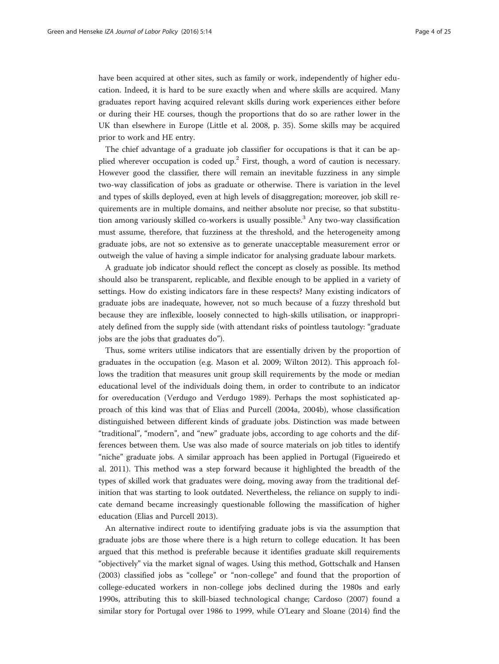have been acquired at other sites, such as family or work, independently of higher education. Indeed, it is hard to be sure exactly when and where skills are acquired. Many graduates report having acquired relevant skills during work experiences either before or during their HE courses, though the proportions that do so are rather lower in the UK than elsewhere in Europe (Little et al. [2008](#page-23-0), p. 35). Some skills may be acquired prior to work and HE entry.

The chief advantage of a graduate job classifier for occupations is that it can be applied wherever occupation is coded up.<sup>2</sup> First, though, a word of caution is necessary. However good the classifier, there will remain an inevitable fuzziness in any simple two-way classification of jobs as graduate or otherwise. There is variation in the level and types of skills deployed, even at high levels of disaggregation; moreover, job skill requirements are in multiple domains, and neither absolute nor precise, so that substitution among variously skilled co-workers is usually possible.<sup>3</sup> Any two-way classification must assume, therefore, that fuzziness at the threshold, and the heterogeneity among graduate jobs, are not so extensive as to generate unacceptable measurement error or outweigh the value of having a simple indicator for analysing graduate labour markets.

A graduate job indicator should reflect the concept as closely as possible. Its method should also be transparent, replicable, and flexible enough to be applied in a variety of settings. How do existing indicators fare in these respects? Many existing indicators of graduate jobs are inadequate, however, not so much because of a fuzzy threshold but because they are inflexible, loosely connected to high-skills utilisation, or inappropriately defined from the supply side (with attendant risks of pointless tautology: "graduate jobs are the jobs that graduates do").

Thus, some writers utilise indicators that are essentially driven by the proportion of graduates in the occupation (e.g. Mason et al. [2009](#page-23-0); Wilton [2012](#page-24-0)). This approach follows the tradition that measures unit group skill requirements by the mode or median educational level of the individuals doing them, in order to contribute to an indicator for overeducation (Verdugo and Verdugo [1989\)](#page-24-0). Perhaps the most sophisticated approach of this kind was that of Elias and Purcell ([2004a, 2004b\)](#page-22-0), whose classification distinguished between different kinds of graduate jobs. Distinction was made between "traditional", "modern", and "new" graduate jobs, according to age cohorts and the differences between them. Use was also made of source materials on job titles to identify "niche" graduate jobs. A similar approach has been applied in Portugal (Figueiredo et al. [2011\)](#page-23-0). This method was a step forward because it highlighted the breadth of the types of skilled work that graduates were doing, moving away from the traditional definition that was starting to look outdated. Nevertheless, the reliance on supply to indicate demand became increasingly questionable following the massification of higher education (Elias and Purcell [2013\)](#page-22-0).

An alternative indirect route to identifying graduate jobs is via the assumption that graduate jobs are those where there is a high return to college education. It has been argued that this method is preferable because it identifies graduate skill requirements "objectively" via the market signal of wages. Using this method, Gottschalk and Hansen ([2003](#page-23-0)) classified jobs as "college" or "non-college" and found that the proportion of college-educated workers in non-college jobs declined during the 1980s and early 1990s, attributing this to skill-biased technological change; Cardoso ([2007](#page-22-0)) found a similar story for Portugal over 1986 to 1999, while O'Leary and Sloane [\(2014\)](#page-23-0) find the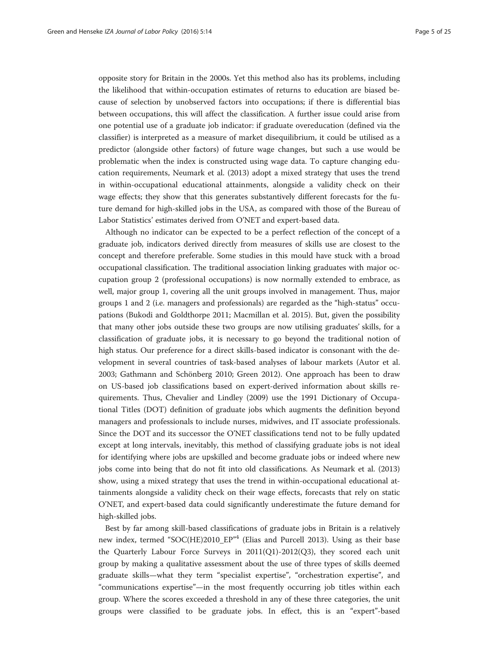opposite story for Britain in the 2000s. Yet this method also has its problems, including the likelihood that within-occupation estimates of returns to education are biased because of selection by unobserved factors into occupations; if there is differential bias between occupations, this will affect the classification. A further issue could arise from one potential use of a graduate job indicator: if graduate overeducation (defined via the classifier) is interpreted as a measure of market disequilibrium, it could be utilised as a predictor (alongside other factors) of future wage changes, but such a use would be problematic when the index is constructed using wage data. To capture changing education requirements, Neumark et al. ([2013](#page-23-0)) adopt a mixed strategy that uses the trend in within-occupational educational attainments, alongside a validity check on their wage effects; they show that this generates substantively different forecasts for the future demand for high-skilled jobs in the USA, as compared with those of the Bureau of Labor Statistics' estimates derived from O'NET and expert-based data.

Although no indicator can be expected to be a perfect reflection of the concept of a graduate job, indicators derived directly from measures of skills use are closest to the concept and therefore preferable. Some studies in this mould have stuck with a broad occupational classification. The traditional association linking graduates with major occupation group 2 (professional occupations) is now normally extended to embrace, as well, major group 1, covering all the unit groups involved in management. Thus, major groups 1 and 2 (i.e. managers and professionals) are regarded as the "high-status" occupations (Bukodi and Goldthorpe [2011;](#page-22-0) Macmillan et al. [2015\)](#page-23-0). But, given the possibility that many other jobs outside these two groups are now utilising graduates' skills, for a classification of graduate jobs, it is necessary to go beyond the traditional notion of high status. Our preference for a direct skills-based indicator is consonant with the development in several countries of task-based analyses of labour markets (Autor et al. [2003](#page-22-0); Gathmann and Schönberg [2010;](#page-23-0) Green [2012\)](#page-23-0). One approach has been to draw on US-based job classifications based on expert-derived information about skills requirements. Thus, Chevalier and Lindley [\(2009](#page-22-0)) use the 1991 Dictionary of Occupational Titles (DOT) definition of graduate jobs which augments the definition beyond managers and professionals to include nurses, midwives, and IT associate professionals. Since the DOT and its successor the O'NET classifications tend not to be fully updated except at long intervals, inevitably, this method of classifying graduate jobs is not ideal for identifying where jobs are upskilled and become graduate jobs or indeed where new jobs come into being that do not fit into old classifications. As Neumark et al. ([2013](#page-23-0)) show, using a mixed strategy that uses the trend in within-occupational educational attainments alongside a validity check on their wage effects, forecasts that rely on static O'NET, and expert-based data could significantly underestimate the future demand for high-skilled jobs.

Best by far among skill-based classifications of graduate jobs in Britain is a relatively new index, termed "SOC(HE)2010\_EP"<sup>4</sup> (Elias and Purcell [2013](#page-22-0)). Using as their base the Quarterly Labour Force Surveys in 2011(Q1)-2012(Q3), they scored each unit group by making a qualitative assessment about the use of three types of skills deemed graduate skills—what they term "specialist expertise", "orchestration expertise", and "communications expertise"—in the most frequently occurring job titles within each group. Where the scores exceeded a threshold in any of these three categories, the unit groups were classified to be graduate jobs. In effect, this is an "expert"-based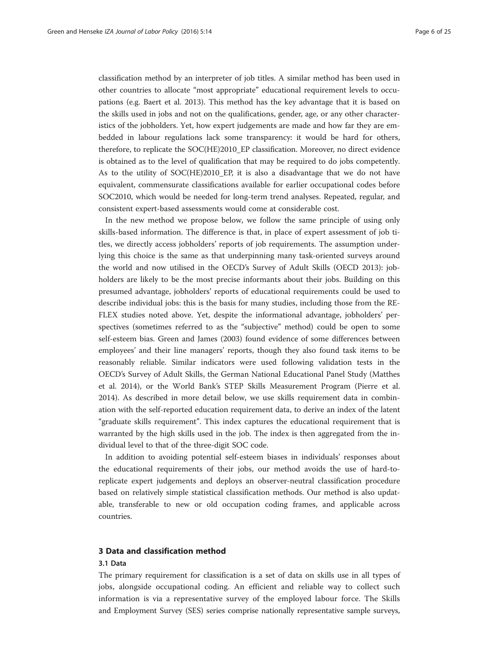<span id="page-5-0"></span>classification method by an interpreter of job titles. A similar method has been used in other countries to allocate "most appropriate" educational requirement levels to occupations (e.g. Baert et al. [2013](#page-22-0)). This method has the key advantage that it is based on the skills used in jobs and not on the qualifications, gender, age, or any other characteristics of the jobholders. Yet, how expert judgements are made and how far they are embedded in labour regulations lack some transparency: it would be hard for others, therefore, to replicate the SOC(HE)2010\_EP classification. Moreover, no direct evidence is obtained as to the level of qualification that may be required to do jobs competently. As to the utility of SOC(HE)2010 EP, it is also a disadvantage that we do not have equivalent, commensurate classifications available for earlier occupational codes before SOC2010, which would be needed for long-term trend analyses. Repeated, regular, and consistent expert-based assessments would come at considerable cost.

In the new method we propose below, we follow the same principle of using only skills-based information. The difference is that, in place of expert assessment of job titles, we directly access jobholders' reports of job requirements. The assumption underlying this choice is the same as that underpinning many task-oriented surveys around the world and now utilised in the OECD's Survey of Adult Skills (OECD [2013\)](#page-23-0): jobholders are likely to be the most precise informants about their jobs. Building on this presumed advantage, jobholders' reports of educational requirements could be used to describe individual jobs: this is the basis for many studies, including those from the RE-FLEX studies noted above. Yet, despite the informational advantage, jobholders' perspectives (sometimes referred to as the "subjective" method) could be open to some self-esteem bias. Green and James ([2003](#page-23-0)) found evidence of some differences between employees' and their line managers' reports, though they also found task items to be reasonably reliable. Similar indicators were used following validation tests in the OECD's Survey of Adult Skills, the German National Educational Panel Study (Matthes et al. [2014\)](#page-23-0), or the World Bank's STEP Skills Measurement Program (Pierre et al. [2014](#page-23-0)). As described in more detail below, we use skills requirement data in combination with the self-reported education requirement data, to derive an index of the latent "graduate skills requirement". This index captures the educational requirement that is warranted by the high skills used in the job. The index is then aggregated from the individual level to that of the three-digit SOC code.

In addition to avoiding potential self-esteem biases in individuals' responses about the educational requirements of their jobs, our method avoids the use of hard-toreplicate expert judgements and deploys an observer-neutral classification procedure based on relatively simple statistical classification methods. Our method is also updatable, transferable to new or old occupation coding frames, and applicable across countries.

#### 3 Data and classification method

#### 3.1 Data

The primary requirement for classification is a set of data on skills use in all types of jobs, alongside occupational coding. An efficient and reliable way to collect such information is via a representative survey of the employed labour force. The Skills and Employment Survey (SES) series comprise nationally representative sample surveys,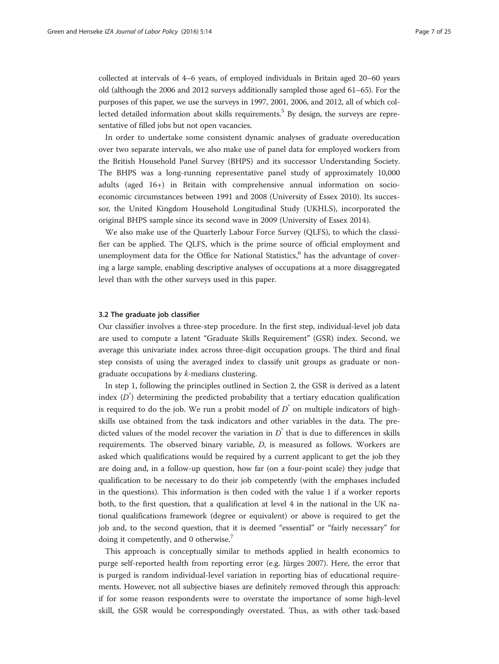collected at intervals of 4–6 years, of employed individuals in Britain aged 20–60 years old (although the 2006 and 2012 surveys additionally sampled those aged 61–65). For the purposes of this paper, we use the surveys in 1997, 2001, 2006, and 2012, all of which collected detailed information about skills requirements.<sup>5</sup> By design, the surveys are representative of filled jobs but not open vacancies.

In order to undertake some consistent dynamic analyses of graduate overeducation over two separate intervals, we also make use of panel data for employed workers from the British Household Panel Survey (BHPS) and its successor Understanding Society. The BHPS was a long-running representative panel study of approximately 10,000 adults (aged 16+) in Britain with comprehensive annual information on socioeconomic circumstances between 1991 and 2008 (University of Essex [2010\)](#page-24-0). Its successor, the United Kingdom Household Longitudinal Study (UKHLS), incorporated the original BHPS sample since its second wave in 2009 (University of Essex [2014](#page-24-0)).

We also make use of the Quarterly Labour Force Survey (QLFS), to which the classifier can be applied. The QLFS, which is the prime source of official employment and unemployment data for the Office for National Statistics,<sup>6</sup> has the advantage of covering a large sample, enabling descriptive analyses of occupations at a more disaggregated level than with the other surveys used in this paper.

#### 3.2 The graduate job classifier

Our classifier involves a three-step procedure. In the first step, individual-level job data are used to compute a latent "Graduate Skills Requirement" (GSR) index. Second, we average this univariate index across three-digit occupation groups. The third and final step consists of using the averaged index to classify unit groups as graduate or nongraduate occupations by k-medians clustering.

In step 1, following the principles outlined in Section [2,](#page-2-0) the GSR is derived as a latent index  $(D^{\dagger})$  determining the predicted probability that a tertiary education qualification is required to do the job. We run a probit model of  $D^*$  on multiple indicators of highskills use obtained from the task indicators and other variables in the data. The predicted values of the model recover the variation in  $D^*$  that is due to differences in skills requirements. The observed binary variable, D, is measured as follows. Workers are asked which qualifications would be required by a current applicant to get the job they are doing and, in a follow-up question, how far (on a four-point scale) they judge that qualification to be necessary to do their job competently (with the emphases included in the questions). This information is then coded with the value 1 if a worker reports both, to the first question, that a qualification at level 4 in the national in the UK national qualifications framework (degree or equivalent) or above is required to get the job and, to the second question, that it is deemed "essential" or "fairly necessary" for doing it competently, and 0 otherwise.<sup>7</sup>

This approach is conceptually similar to methods applied in health economics to purge self-reported health from reporting error (e.g. Jürges [2007](#page-23-0)). Here, the error that is purged is random individual-level variation in reporting bias of educational requirements. However, not all subjective biases are definitely removed through this approach: if for some reason respondents were to overstate the importance of some high-level skill, the GSR would be correspondingly overstated. Thus, as with other task-based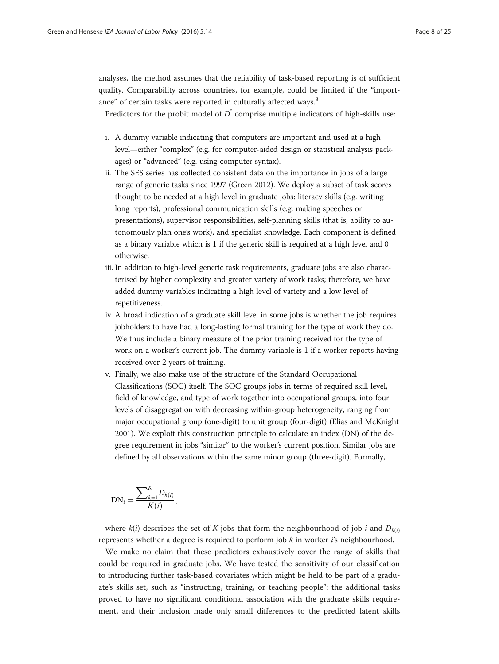analyses, the method assumes that the reliability of task-based reporting is of sufficient quality. Comparability across countries, for example, could be limited if the "importance" of certain tasks were reported in culturally affected ways.<sup>8</sup>

Predictors for the probit model of  $D^*$  comprise multiple indicators of high-skills use:

- i. A dummy variable indicating that computers are important and used at a high level—either "complex" (e.g. for computer-aided design or statistical analysis packages) or "advanced" (e.g. using computer syntax).
- ii. The SES series has collected consistent data on the importance in jobs of a large range of generic tasks since 1997 (Green [2012](#page-23-0)). We deploy a subset of task scores thought to be needed at a high level in graduate jobs: literacy skills (e.g. writing long reports), professional communication skills (e.g. making speeches or presentations), supervisor responsibilities, self-planning skills (that is, ability to autonomously plan one's work), and specialist knowledge. Each component is defined as a binary variable which is 1 if the generic skill is required at a high level and 0 otherwise.
- iii. In addition to high-level generic task requirements, graduate jobs are also characterised by higher complexity and greater variety of work tasks; therefore, we have added dummy variables indicating a high level of variety and a low level of repetitiveness.
- iv. A broad indication of a graduate skill level in some jobs is whether the job requires jobholders to have had a long-lasting formal training for the type of work they do. We thus include a binary measure of the prior training received for the type of work on a worker's current job. The dummy variable is 1 if a worker reports having received over 2 years of training.
- v. Finally, we also make use of the structure of the Standard Occupational Classifications (SOC) itself. The SOC groups jobs in terms of required skill level, field of knowledge, and type of work together into occupational groups, into four levels of disaggregation with decreasing within-group heterogeneity, ranging from major occupational group (one-digit) to unit group (four-digit) (Elias and McKnight [2001](#page-22-0)). We exploit this construction principle to calculate an index (DN) of the degree requirement in jobs "similar" to the worker's current position. Similar jobs are defined by all observations within the same minor group (three-digit). Formally,

$$
DN_i = \frac{\sum_{k=1}^K D_{k(i)}}{K(i)},
$$

where  $k(i)$  describes the set of K jobs that form the neighbourhood of job i and  $D_{k(i)}$ represents whether a degree is required to perform job  $k$  in worker  $i$ 's neighbourhood.

We make no claim that these predictors exhaustively cover the range of skills that could be required in graduate jobs. We have tested the sensitivity of our classification to introducing further task-based covariates which might be held to be part of a graduate's skills set, such as "instructing, training, or teaching people": the additional tasks proved to have no significant conditional association with the graduate skills requirement, and their inclusion made only small differences to the predicted latent skills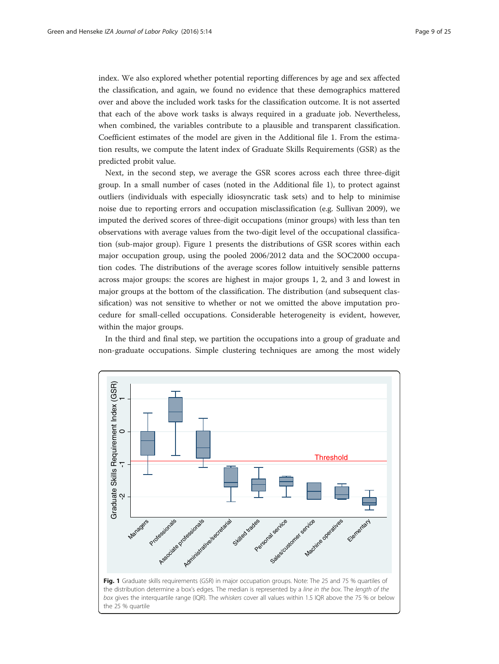<span id="page-8-0"></span>index. We also explored whether potential reporting differences by age and sex affected the classification, and again, we found no evidence that these demographics mattered over and above the included work tasks for the classification outcome. It is not asserted that each of the above work tasks is always required in a graduate job. Nevertheless, when combined, the variables contribute to a plausible and transparent classification. Coefficient estimates of the model are given in the Additional file [1.](#page-22-0) From the estimation results, we compute the latent index of Graduate Skills Requirements (GSR) as the predicted probit value.

Next, in the second step, we average the GSR scores across each three three-digit group. In a small number of cases (noted in the Additional file [1\)](#page-22-0), to protect against outliers (individuals with especially idiosyncratic task sets) and to help to minimise noise due to reporting errors and occupation misclassification (e.g. Sullivan [2009](#page-24-0)), we imputed the derived scores of three-digit occupations (minor groups) with less than ten observations with average values from the two-digit level of the occupational classification (sub-major group). Figure 1 presents the distributions of GSR scores within each major occupation group, using the pooled 2006/2012 data and the SOC2000 occupation codes. The distributions of the average scores follow intuitively sensible patterns across major groups: the scores are highest in major groups 1, 2, and 3 and lowest in major groups at the bottom of the classification. The distribution (and subsequent classification) was not sensitive to whether or not we omitted the above imputation procedure for small-celled occupations. Considerable heterogeneity is evident, however, within the major groups.

In the third and final step, we partition the occupations into a group of graduate and non-graduate occupations. Simple clustering techniques are among the most widely

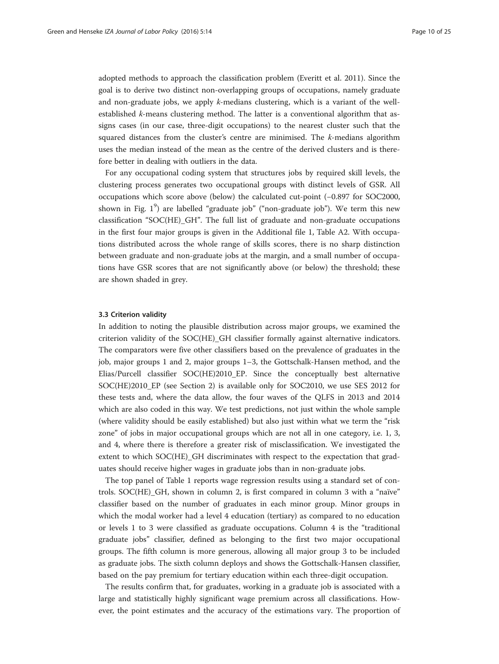adopted methods to approach the classification problem ([Everitt et al. 2011\)](#page-22-0). Since the goal is to derive two distinct non-overlapping groups of occupations, namely graduate and non-graduate jobs, we apply  $k$ -medians clustering, which is a variant of the wellestablished k-means clustering method. The latter is a conventional algorithm that assigns cases (in our case, three-digit occupations) to the nearest cluster such that the squared distances from the cluster's centre are minimised. The k-medians algorithm uses the median instead of the mean as the centre of the derived clusters and is therefore better in dealing with outliers in the data.

For any occupational coding system that structures jobs by required skill levels, the clustering process generates two occupational groups with distinct levels of GSR. All occupations which score above (below) the calculated cut-point (−0.897 for SOC2000, shown in Fig.  $1^9$ ) are labelled "graduate job" ("non-graduate job"). We term this new classification "SOC(HE)\_GH". The full list of graduate and non-graduate occupations in the first four major groups is given in the Additional file [1](#page-22-0), Table A2. With occupations distributed across the whole range of skills scores, there is no sharp distinction between graduate and non-graduate jobs at the margin, and a small number of occupations have GSR scores that are not significantly above (or below) the threshold; these are shown shaded in grey.

#### 3.3 Criterion validity

In addition to noting the plausible distribution across major groups, we examined the criterion validity of the SOC(HE)\_GH classifier formally against alternative indicators. The comparators were five other classifiers based on the prevalence of graduates in the job, major groups 1 and 2, major groups 1–3, the Gottschalk-Hansen method, and the Elias/Purcell classifier SOC(HE)2010\_EP. Since the conceptually best alternative SOC(HE)2010\_EP (see Section [2\)](#page-2-0) is available only for SOC2010, we use SES 2012 for these tests and, where the data allow, the four waves of the QLFS in 2013 and 2014 which are also coded in this way. We test predictions, not just within the whole sample (where validity should be easily established) but also just within what we term the "risk zone" of jobs in major occupational groups which are not all in one category, i.e. 1, 3, and 4, where there is therefore a greater risk of misclassification. We investigated the extent to which SOC(HE)\_GH discriminates with respect to the expectation that graduates should receive higher wages in graduate jobs than in non-graduate jobs.

The top panel of Table [1](#page-10-0) reports wage regression results using a standard set of controls. SOC(HE)\_GH, shown in column 2, is first compared in column 3 with a "naïve" classifier based on the number of graduates in each minor group. Minor groups in which the modal worker had a level 4 education (tertiary) as compared to no education or levels 1 to 3 were classified as graduate occupations. Column 4 is the "traditional graduate jobs" classifier, defined as belonging to the first two major occupational groups. The fifth column is more generous, allowing all major group 3 to be included as graduate jobs. The sixth column deploys and shows the Gottschalk-Hansen classifier, based on the pay premium for tertiary education within each three-digit occupation.

The results confirm that, for graduates, working in a graduate job is associated with a large and statistically highly significant wage premium across all classifications. However, the point estimates and the accuracy of the estimations vary. The proportion of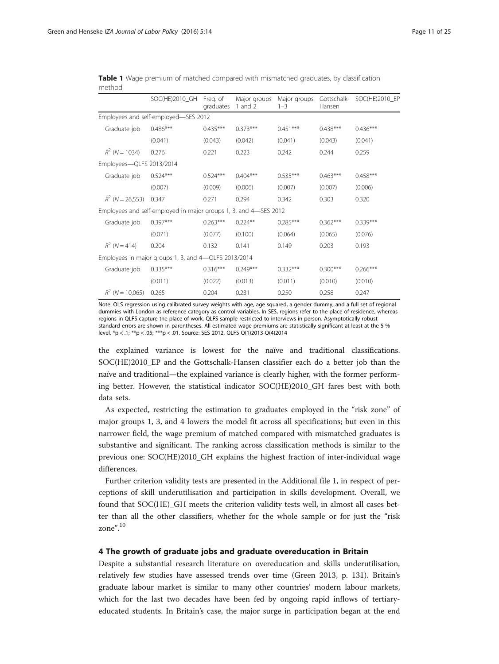|                                                      | SOC(HE)2010_GH                                                   | Freg. of<br>graduates | Major groups<br>1 and $2$ | Major groups<br>$1 - 3$ | Gottschalk-<br>Hansen | SOC(HE)2010_EP |
|------------------------------------------------------|------------------------------------------------------------------|-----------------------|---------------------------|-------------------------|-----------------------|----------------|
|                                                      | Employees and self-employed-SES 2012                             |                       |                           |                         |                       |                |
| Graduate job                                         | $0.486***$                                                       | $0.435***$            | $0.373***$                | $0.451***$              | $0.438***$            | $0.436***$     |
|                                                      | (0.041)                                                          | (0.043)               | (0.042)                   | (0.041)                 | (0.043)               | (0.041)        |
| $R^2$ (N = 1034)                                     | 0.276                                                            | 0.221                 | 0.223                     | 0.242                   | 0.244                 | 0.259          |
| Employees-QLFS 2013/2014                             |                                                                  |                       |                           |                         |                       |                |
| Graduate job                                         | $0.524***$                                                       | $0.524***$            | $0.404***$                | $0.535***$              | $0.463***$            | $0.458***$     |
|                                                      | (0.007)                                                          | (0.009)               | (0.006)                   | (0.007)                 | (0.007)               | (0.006)        |
| $R^2$ (N = 26,553)                                   | 0.347                                                            | 0.271                 | 0.294                     | 0.342                   | 0.303                 | 0.320          |
|                                                      | Employees and self-employed in major groups 1, 3, and 4–SES 2012 |                       |                           |                         |                       |                |
| Graduate job                                         | $0.397***$                                                       | $0.263***$            | $0.224**$                 | $0.285***$              | $0.362***$            | $0.339***$     |
|                                                      | (0.071)                                                          | (0.077)               | (0.100)                   | (0.064)                 | (0.065)               | (0.076)        |
| $R^2$ (N = 414)                                      | 0.204                                                            | 0.132                 | 0.141                     | 0.149                   | 0.203                 | 0.193          |
| Employees in major groups 1, 3, and 4-QLFS 2013/2014 |                                                                  |                       |                           |                         |                       |                |
| Graduate job                                         | $0.335***$                                                       | $0.316***$            | $0.249***$                | $0.332***$              | $0.300***$            | $0.266***$     |
|                                                      | (0.011)                                                          | (0.022)               | (0.013)                   | (0.011)                 | (0.010)               | (0.010)        |
| $R^2$ (N = 10,065)                                   | 0.265                                                            | 0.204                 | 0.231                     | 0.250                   | 0.258                 | 0.247          |

<span id="page-10-0"></span>**Table 1** Wage premium of matched compared with mismatched graduates, by classification method

Note: OLS regression using calibrated survey weights with age, age squared, a gender dummy, and a full set of regional dummies with London as reference category as control variables. In SES, regions refer to the place of residence, whereas regions in QLFS capture the place of work. QLFS sample restricted to interviews in person. Asymptotically robust standard errors are shown in parentheses. All estimated wage premiums are statistically significant at least at the 5 % level. \*p < .1; \*\*p < .05; \*\*\*p < .01. Source: SES 2012, QLFS Q(1)2013-Q(4)2014

the explained variance is lowest for the naïve and traditional classifications. SOC(HE)2010\_EP and the Gottschalk-Hansen classifier each do a better job than the naïve and traditional—the explained variance is clearly higher, with the former performing better. However, the statistical indicator SOC(HE)2010\_GH fares best with both data sets.

As expected, restricting the estimation to graduates employed in the "risk zone" of major groups 1, 3, and 4 lowers the model fit across all specifications; but even in this narrower field, the wage premium of matched compared with mismatched graduates is substantive and significant. The ranking across classification methods is similar to the previous one: SOC(HE)2010\_GH explains the highest fraction of inter-individual wage differences.

Further criterion validity tests are presented in the Additional file [1,](#page-22-0) in respect of perceptions of skill underutilisation and participation in skills development. Overall, we found that SOC(HE)\_GH meets the criterion validity tests well, in almost all cases better than all the other classifiers, whether for the whole sample or for just the "risk zone". 10

#### 4 The growth of graduate jobs and graduate overeducation in Britain

Despite a substantial research literature on overeducation and skills underutilisation, relatively few studies have assessed trends over time (Green [2013](#page-23-0), p. 131). Britain's graduate labour market is similar to many other countries' modern labour markets, which for the last two decades have been fed by ongoing rapid inflows of tertiaryeducated students. In Britain's case, the major surge in participation began at the end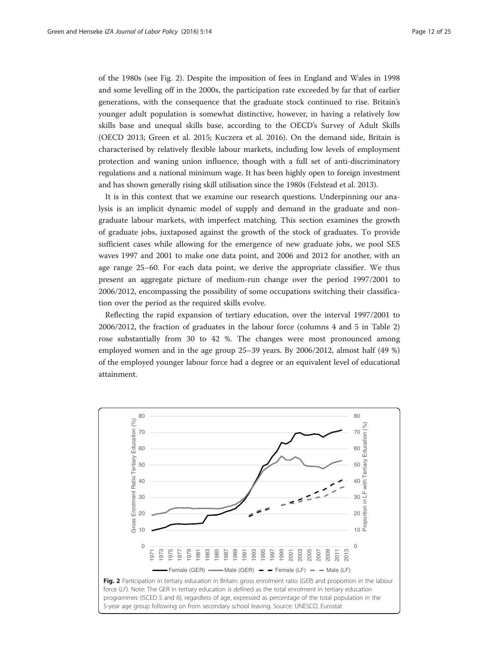of the 1980s (see Fig. 2). Despite the imposition of fees in England and Wales in 1998 and some levelling off in the 2000s, the participation rate exceeded by far that of earlier generations, with the consequence that the graduate stock continued to rise. Britain's younger adult population is somewhat distinctive, however, in having a relatively low skills base and unequal skills base, according to the OECD's Survey of Adult Skills (OECD [2013](#page-23-0); Green et al. [2015;](#page-23-0) Kuczera et al. [2016\)](#page-23-0). On the demand side, Britain is characterised by relatively flexible labour markets, including low levels of employment protection and waning union influence, though with a full set of anti-discriminatory regulations and a national minimum wage. It has been highly open to foreign investment and has shown generally rising skill utilisation since the 1980s (Felstead et al. [2013](#page-23-0)).

It is in this context that we examine our research questions. Underpinning our analysis is an implicit dynamic model of supply and demand in the graduate and nongraduate labour markets, with imperfect matching. This section examines the growth of graduate jobs, juxtaposed against the growth of the stock of graduates. To provide sufficient cases while allowing for the emergence of new graduate jobs, we pool SES waves 1997 and 2001 to make one data point, and 2006 and 2012 for another, with an age range 25–60. For each data point, we derive the appropriate classifier. We thus present an aggregate picture of medium-run change over the period 1997/2001 to 2006/2012, encompassing the possibility of some occupations switching their classification over the period as the required skills evolve.

Reflecting the rapid expansion of tertiary education, over the interval 1997/2001 to 2006/2012, the fraction of graduates in the labour force (columns 4 and 5 in Table [2](#page-12-0)) rose substantially from 30 to 42 %. The changes were most pronounced among employed women and in the age group 25–39 years. By 2006/2012, almost half (49 %) of the employed younger labour force had a degree or an equivalent level of educational attainment.

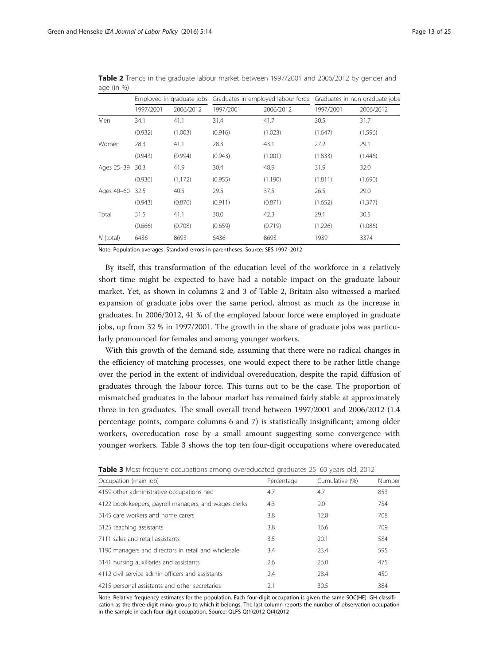|                 |           |           | Employed in graduate jobs Graduates in employed labour force Graduates in non-graduate jobs |           |           |           |
|-----------------|-----------|-----------|---------------------------------------------------------------------------------------------|-----------|-----------|-----------|
|                 | 1997/2001 | 2006/2012 | 1997/2001                                                                                   | 2006/2012 | 1997/2001 | 2006/2012 |
| Men             | 34.1      | 41.1      | 31.4                                                                                        | 41.7      | 30.5      | 31.7      |
|                 | (0.932)   | (1.003)   | (0.916)                                                                                     | (1.023)   | (1.647)   | (1.596)   |
| Women           | 28.3      | 41.1      | 28.3                                                                                        | 43.1      | 27.2      | 29.1      |
|                 | (0.943)   | (0.994)   | (0.943)                                                                                     | (1.001)   | (1.833)   | (1.446)   |
| Ages 25-39 30.3 |           | 41.9      | 30.4                                                                                        | 48.9      | 31.9      | 32.0      |
|                 | (0.936)   | (1.172)   | (0.955)                                                                                     | (1.190)   | (1.811)   | (1.690)   |
| Ages 40-60      | 32.5      | 40.5      | 29.5                                                                                        | 37.5      | 26.5      | 29.0      |
|                 | (0.943)   | (0.876)   | (0.911)                                                                                     | (0.871)   | (1.652)   | (1.377)   |
| Total           | 31.5      | 41.1      | 30.0                                                                                        | 42.3      | 29.1      | 30.5      |
|                 | (0.666)   | (0.708)   | (0.659)                                                                                     | (0.719)   | (1.226)   | (1.086)   |
| $N$ (total)     | 6436      | 8693      | 6436                                                                                        | 8693      | 1939      | 3374      |

<span id="page-12-0"></span>Table 2 Trends in the graduate labour market between 1997/2001 and 2006/2012 by gender and age (in %)

Note: Population averages. Standard errors in parentheses. Source: SES 1997–2012

By itself, this transformation of the education level of the workforce in a relatively short time might be expected to have had a notable impact on the graduate labour market. Yet, as shown in columns 2 and 3 of Table 2, Britain also witnessed a marked expansion of graduate jobs over the same period, almost as much as the increase in graduates. In 2006/2012, 41 % of the employed labour force were employed in graduate jobs, up from 32 % in 1997/2001. The growth in the share of graduate jobs was particularly pronounced for females and among younger workers.

With this growth of the demand side, assuming that there were no radical changes in the efficiency of matching processes, one would expect there to be rather little change over the period in the extent of individual overeducation, despite the rapid diffusion of graduates through the labour force. This turns out to be the case. The proportion of mismatched graduates in the labour market has remained fairly stable at approximately three in ten graduates. The small overall trend between 1997/2001 and 2006/2012 (1.4 percentage points, compare columns 6 and 7) is statistically insignificant; among older workers, overeducation rose by a small amount suggesting some convergence with younger workers. Table 3 shows the top ten four-digit occupations where overeducated

| <b>TWIND &amp;</b> THOSE TICQUETIC OCCUPACIONS UNIONG OVERCHACIOUS GRUGUALES ES TOO JEUNS ORIGINALES TE |            |                |        |  |  |  |
|---------------------------------------------------------------------------------------------------------|------------|----------------|--------|--|--|--|
| Occupation (main job)                                                                                   | Percentage | Cumulative (%) | Number |  |  |  |
| 4159 other administrative occupations nec                                                               | 4.7        | 4.7            | 853    |  |  |  |
| 4122 book-keepers, payroll managers, and wages clerks                                                   | 4.3        | 9.0            | 754    |  |  |  |
| 6145 care workers and home carers                                                                       | 3.8        | 12.8           | 708    |  |  |  |
| 6125 teaching assistants                                                                                | 3.8        | 16.6           | 709    |  |  |  |
| 7111 sales and retail assistants                                                                        | 3.5        | 20.1           | 584    |  |  |  |
| 1190 managers and directors in retail and wholesale                                                     | 3.4        | 23.4           | 595    |  |  |  |
| 6141 nursing auxiliaries and assistants                                                                 | 2.6        | 26.0           | 475    |  |  |  |
| 4112 civil service admin officers and assistants                                                        | 7.4        | 28.4           | 450    |  |  |  |
| 4215 personal assistants and other secretaries                                                          | 2.1        | 30.5           | 384    |  |  |  |

Table 3 Most frequent occupations among overeducated graduates 25–60 years old, 2012

Note: Relative frequency estimates for the population. Each four-digit occupation is given the same SOC(HE)\_GH classification as the three-digit minor group to which it belongs. The last column reports the number of observation occupation in the sample in each four-digit occupation. Source: QLFS Q(1)2012-Q(4)2012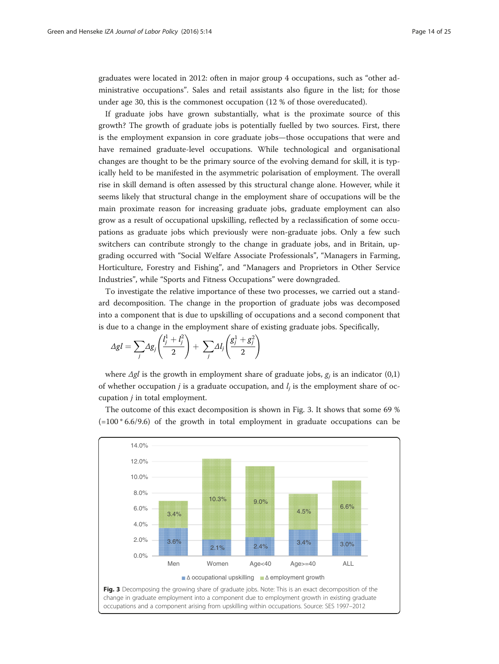<span id="page-13-0"></span>graduates were located in 2012: often in major group 4 occupations, such as "other administrative occupations". Sales and retail assistants also figure in the list; for those under age 30, this is the commonest occupation (12 % of those overeducated).

If graduate jobs have grown substantially, what is the proximate source of this growth? The growth of graduate jobs is potentially fuelled by two sources. First, there is the employment expansion in core graduate jobs—those occupations that were and have remained graduate-level occupations. While technological and organisational changes are thought to be the primary source of the evolving demand for skill, it is typically held to be manifested in the asymmetric polarisation of employment. The overall rise in skill demand is often assessed by this structural change alone. However, while it seems likely that structural change in the employment share of occupations will be the main proximate reason for increasing graduate jobs, graduate employment can also grow as a result of occupational upskilling, reflected by a reclassification of some occupations as graduate jobs which previously were non-graduate jobs. Only a few such switchers can contribute strongly to the change in graduate jobs, and in Britain, upgrading occurred with "Social Welfare Associate Professionals", "Managers in Farming, Horticulture, Forestry and Fishing", and "Managers and Proprietors in Other Service Industries", while "Sports and Fitness Occupations" were downgraded.

To investigate the relative importance of these two processes, we carried out a standard decomposition. The change in the proportion of graduate jobs was decomposed into a component that is due to upskilling of occupations and a second component that is due to a change in the employment share of existing graduate jobs. Specifically,

$$
\Delta g l = \sum_{j} \Delta g_j \left( \frac{l_j^1 + l_j^2}{2} \right) + \sum_{j} \Delta l_j \left( \frac{g_j^1 + g_j^2}{2} \right)
$$

where  $\Delta gl$  is the growth in employment share of graduate jobs,  $g_i$  is an indicator (0,1) of whether occupation *j* is a graduate occupation, and  $l_i$  is the employment share of occupation j in total employment.

The outcome of this exact decomposition is shown in Fig. 3. It shows that some 69 % (=100 \* 6.6/9.6) of the growth in total employment in graduate occupations can be

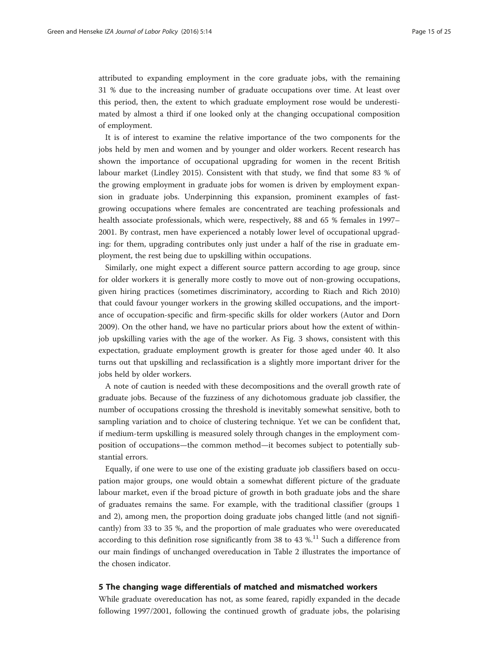<span id="page-14-0"></span>attributed to expanding employment in the core graduate jobs, with the remaining 31 % due to the increasing number of graduate occupations over time. At least over this period, then, the extent to which graduate employment rose would be underestimated by almost a third if one looked only at the changing occupational composition of employment.

It is of interest to examine the relative importance of the two components for the jobs held by men and women and by younger and older workers. Recent research has shown the importance of occupational upgrading for women in the recent British labour market (Lindley [2015](#page-23-0)). Consistent with that study, we find that some 83 % of the growing employment in graduate jobs for women is driven by employment expansion in graduate jobs. Underpinning this expansion, prominent examples of fastgrowing occupations where females are concentrated are teaching professionals and health associate professionals, which were, respectively, 88 and 65 % females in 1997– 2001. By contrast, men have experienced a notably lower level of occupational upgrading: for them, upgrading contributes only just under a half of the rise in graduate employment, the rest being due to upskilling within occupations.

Similarly, one might expect a different source pattern according to age group, since for older workers it is generally more costly to move out of non-growing occupations, given hiring practices (sometimes discriminatory, according to Riach and Rich [2010](#page-24-0)) that could favour younger workers in the growing skilled occupations, and the importance of occupation-specific and firm-specific skills for older workers (Autor and Dorn [2009](#page-22-0)). On the other hand, we have no particular priors about how the extent of withinjob upskilling varies with the age of the worker. As Fig. [3](#page-13-0) shows, consistent with this expectation, graduate employment growth is greater for those aged under 40. It also turns out that upskilling and reclassification is a slightly more important driver for the jobs held by older workers.

A note of caution is needed with these decompositions and the overall growth rate of graduate jobs. Because of the fuzziness of any dichotomous graduate job classifier, the number of occupations crossing the threshold is inevitably somewhat sensitive, both to sampling variation and to choice of clustering technique. Yet we can be confident that, if medium-term upskilling is measured solely through changes in the employment composition of occupations—the common method—it becomes subject to potentially substantial errors.

Equally, if one were to use one of the existing graduate job classifiers based on occupation major groups, one would obtain a somewhat different picture of the graduate labour market, even if the broad picture of growth in both graduate jobs and the share of graduates remains the same. For example, with the traditional classifier (groups 1 and 2), among men, the proportion doing graduate jobs changed little (and not significantly) from 33 to 35 %, and the proportion of male graduates who were overeducated according to this definition rose significantly from 38 to 43  $\%$ .<sup>11</sup> Such a difference from our main findings of unchanged overeducation in Table [2](#page-12-0) illustrates the importance of the chosen indicator.

#### 5 The changing wage differentials of matched and mismatched workers

While graduate overeducation has not, as some feared, rapidly expanded in the decade following 1997/2001, following the continued growth of graduate jobs, the polarising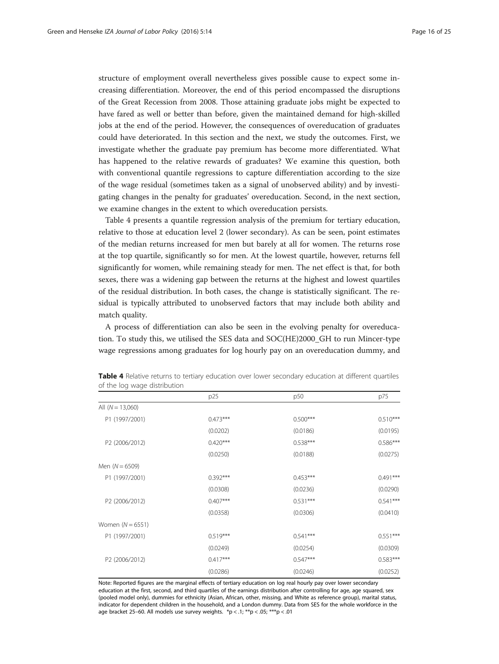<span id="page-15-0"></span>structure of employment overall nevertheless gives possible cause to expect some increasing differentiation. Moreover, the end of this period encompassed the disruptions of the Great Recession from 2008. Those attaining graduate jobs might be expected to have fared as well or better than before, given the maintained demand for high-skilled jobs at the end of the period. However, the consequences of overeducation of graduates could have deteriorated. In this section and the next, we study the outcomes. First, we investigate whether the graduate pay premium has become more differentiated. What has happened to the relative rewards of graduates? We examine this question, both with conventional quantile regressions to capture differentiation according to the size of the wage residual (sometimes taken as a signal of unobserved ability) and by investigating changes in the penalty for graduates' overeducation. Second, in the next section, we examine changes in the extent to which overeducation persists.

Table 4 presents a quantile regression analysis of the premium for tertiary education, relative to those at education level 2 (lower secondary). As can be seen, point estimates of the median returns increased for men but barely at all for women. The returns rose at the top quartile, significantly so for men. At the lowest quartile, however, returns fell significantly for women, while remaining steady for men. The net effect is that, for both sexes, there was a widening gap between the returns at the highest and lowest quartiles of the residual distribution. In both cases, the change is statistically significant. The residual is typically attributed to unobserved factors that may include both ability and match quality.

A process of differentiation can also be seen in the evolving penalty for overeducation. To study this, we utilised the SES data and SOC(HE)2000\_GH to run Mincer-type wage regressions among graduates for log hourly pay on an overeducation dummy, and

|                    | p25        | p50        | p75        |
|--------------------|------------|------------|------------|
| All $(N = 13,060)$ |            |            |            |
| P1 (1997/2001)     | $0.473***$ | $0.500***$ | $0.510***$ |
|                    | (0.0202)   | (0.0186)   | (0.0195)   |
| P2 (2006/2012)     | $0.420***$ | $0.538***$ | $0.586***$ |
|                    | (0.0250)   | (0.0188)   | (0.0275)   |
| Men $(N = 6509)$   |            |            |            |
| P1 (1997/2001)     | $0.392***$ | $0.453***$ | $0.491***$ |
|                    | (0.0308)   | (0.0236)   | (0.0290)   |
| P2 (2006/2012)     | $0.407***$ | $0.531***$ | $0.541***$ |
|                    | (0.0358)   | (0.0306)   | (0.0410)   |
| Women $(N = 6551)$ |            |            |            |
| P1 (1997/2001)     | $0.519***$ | $0.541***$ | $0.551***$ |
|                    | (0.0249)   | (0.0254)   | (0.0309)   |
| P2 (2006/2012)     | $0.417***$ | $0.547***$ | $0.583***$ |
|                    | (0.0286)   | (0.0246)   | (0.0252)   |

Table 4 Relative returns to tertiary education over lower secondary education at different quartiles of the log wage distribution

Note: Reported figures are the marginal effects of tertiary education on log real hourly pay over lower secondary education at the first, second, and third quartiles of the earnings distribution after controlling for age, age squared, sex (pooled model only), dummies for ethnicity (Asian, African, other, missing, and White as reference group), marital status, indicator for dependent children in the household, and a London dummy. Data from SES for the whole workforce in the age bracket 25–60. All models use survey weights. \*p < .1; \*\*p < .05; \*\*\*p < .01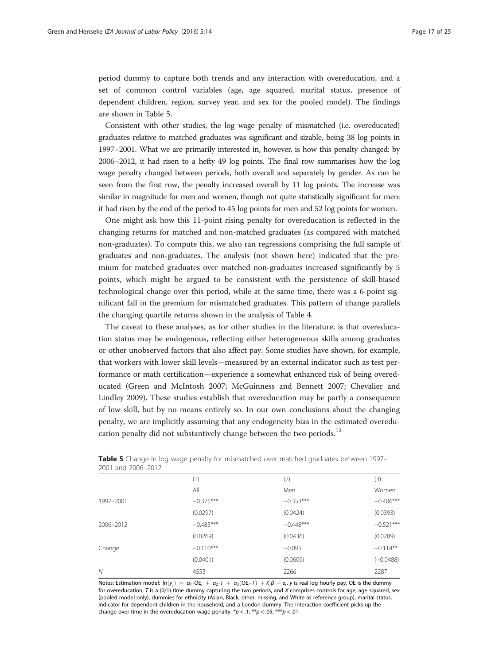period dummy to capture both trends and any interaction with overeducation, and a set of common control variables (age, age squared, marital status, presence of dependent children, region, survey year, and sex for the pooled model). The findings are shown in Table 5.

Consistent with other studies, the log wage penalty of mismatched (i.e. overeducated) graduates relative to matched graduates was significant and sizable, being 38 log points in 1997–2001. What we are primarily interested in, however, is how this penalty changed: by 2006–2012, it had risen to a hefty 49 log points. The final row summarises how the log wage penalty changed between periods, both overall and separately by gender. As can be seen from the first row, the penalty increased overall by 11 log points. The increase was similar in magnitude for men and women, though not quite statistically significant for men: it had risen by the end of the period to 45 log points for men and 52 log points for women.

One might ask how this 11-point rising penalty for overeducation is reflected in the changing returns for matched and non-matched graduates (as compared with matched non-graduates). To compute this, we also ran regressions comprising the full sample of graduates and non-graduates. The analysis (not shown here) indicated that the premium for matched graduates over matched non-graduates increased significantly by 5 points, which might be argued to be consistent with the persistence of skill-biased technological change over this period, while at the same time, there was a 6-point significant fall in the premium for mismatched graduates. This pattern of change parallels the changing quartile returns shown in the analysis of Table [4](#page-15-0).

The caveat to these analyses, as for other studies in the literature, is that overeducation status may be endogenous, reflecting either heterogeneous skills among graduates or other unobserved factors that also affect pay. Some studies have shown, for example, that workers with lower skill levels—measured by an external indicator such as test performance or math certification—experience a somewhat enhanced risk of being overeducated (Green and McIntosh [2007](#page-23-0); McGuinness and Bennett [2007;](#page-23-0) Chevalier and Lindley [2009\)](#page-22-0). These studies establish that overeducation may be partly a consequence of low skill, but by no means entirely so. In our own conclusions about the changing penalty, we are implicitly assuming that any endogeneity bias in the estimated overeducation penalty did not substantively change between the two periods.<sup>12</sup>

| 2001 GITG 2000 2012 |             |             |             |
|---------------------|-------------|-------------|-------------|
|                     | (1)         | (2)         | (3)         |
|                     | All         | Men         | Women       |
| 1997-2001           | $-0.375***$ | $-0.353***$ | $-0.406***$ |
|                     | (0.0297)    | (0.0424)    | (0.0393)    |
| 2006-2012           | $-0.485***$ | $-0.448***$ | $-0.521***$ |
|                     | (0.0269)    | (0.0436)    | (0.0289)    |
| Change              | $-0.110***$ | $-0.095$    | $-0.114**$  |
|                     | (0.0401)    | (0.0609)    | $(-0.0488)$ |
| N                   | 4553        | 2266        | 2287        |
|                     |             |             |             |

Table 5 Change in log wage penalty for mismatched over matched graduates between 1997– 2001 and 2006–2012

Notes: Estimation model:  $ln(y_i) = a_1 \cdot OE_i + a_2 \cdot T + a_3(OE_i \cdot T) + X_i \beta + e_i$ . y is real log hourly pay, OE is the dummy for overeducation, T is a (0/1) time dummy capturing the two periods, and X comprises controls for age, age squared, sex (pooled model only), dummies for ethnicity (Asian, Black, other, missing, and White as reference group), marital status, indicator for dependent children in the household, and a London dummy. The interaction coefficient picks up the change over time in the overeducation wage penalty.  $\sp{\ast}p < .1$ ;  $\sp{\ast} \sp{\ast}p < .05$ ;  $\sp{\ast} \sp{\ast} \sp{\ast}p < .01$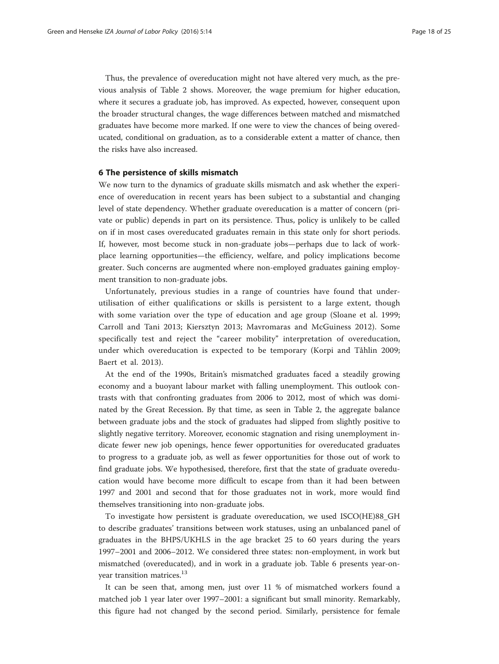<span id="page-17-0"></span>Thus, the prevalence of overeducation might not have altered very much, as the previous analysis of Table [2](#page-12-0) shows. Moreover, the wage premium for higher education, where it secures a graduate job, has improved. As expected, however, consequent upon the broader structural changes, the wage differences between matched and mismatched graduates have become more marked. If one were to view the chances of being overeducated, conditional on graduation, as to a considerable extent a matter of chance, then the risks have also increased.

#### 6 The persistence of skills mismatch

We now turn to the dynamics of graduate skills mismatch and ask whether the experience of overeducation in recent years has been subject to a substantial and changing level of state dependency. Whether graduate overeducation is a matter of concern (private or public) depends in part on its persistence. Thus, policy is unlikely to be called on if in most cases overeducated graduates remain in this state only for short periods. If, however, most become stuck in non-graduate jobs—perhaps due to lack of workplace learning opportunities—the efficiency, welfare, and policy implications become greater. Such concerns are augmented where non-employed graduates gaining employment transition to non-graduate jobs.

Unfortunately, previous studies in a range of countries have found that underutilisation of either qualifications or skills is persistent to a large extent, though with some variation over the type of education and age group (Sloane et al. [1999](#page-24-0); Carroll and Tani [2013;](#page-22-0) Kiersztyn [2013](#page-23-0); Mavromaras and McGuiness [2012](#page-23-0)). Some specifically test and reject the "career mobility" interpretation of overeducation, under which overeducation is expected to be temporary (Korpi and Tåhlin [2009](#page-23-0); Baert et al. [2013](#page-22-0)).

At the end of the 1990s, Britain's mismatched graduates faced a steadily growing economy and a buoyant labour market with falling unemployment. This outlook contrasts with that confronting graduates from 2006 to 2012, most of which was dominated by the Great Recession. By that time, as seen in Table [2,](#page-12-0) the aggregate balance between graduate jobs and the stock of graduates had slipped from slightly positive to slightly negative territory. Moreover, economic stagnation and rising unemployment indicate fewer new job openings, hence fewer opportunities for overeducated graduates to progress to a graduate job, as well as fewer opportunities for those out of work to find graduate jobs. We hypothesised, therefore, first that the state of graduate overeducation would have become more difficult to escape from than it had been between 1997 and 2001 and second that for those graduates not in work, more would find themselves transitioning into non-graduate jobs.

To investigate how persistent is graduate overeducation, we used ISCO(HE)88\_GH to describe graduates' transitions between work statuses, using an unbalanced panel of graduates in the BHPS/UKHLS in the age bracket 25 to 60 years during the years 1997–2001 and 2006–2012. We considered three states: non-employment, in work but mismatched (overeducated), and in work in a graduate job. Table [6](#page-18-0) presents year-onyear transition matrices.<sup>13</sup>

It can be seen that, among men, just over 11 % of mismatched workers found a matched job 1 year later over 1997–2001: a significant but small minority. Remarkably, this figure had not changed by the second period. Similarly, persistence for female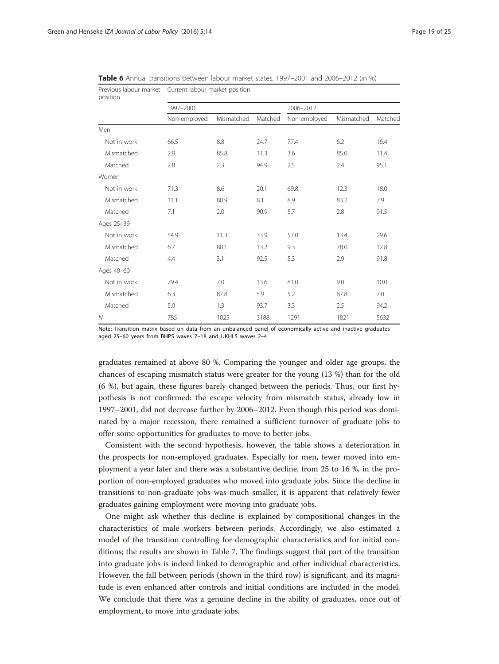Previous labour market Current labour market position

| position    |              |            |         |              |            |         |
|-------------|--------------|------------|---------|--------------|------------|---------|
|             | 1997-2001    |            |         | 2006-2012    |            |         |
|             | Non-employed | Mismatched | Matched | Non-employed | Mismatched | Matched |
| Men         |              |            |         |              |            |         |
| Not in work | 66.5         | 8.8        | 24.7    | 77.4         | 6.2        | 16.4    |
| Mismatched  | 2.9          | 85.8       | 11.3    | 3.6          | 85.0       | 11.4    |
| Matched     | 2.8          | 2.3        | 94.9    | 2.5          | 2.4        | 95.1    |
| Women       |              |            |         |              |            |         |
| Not in work | 71.3         | 8.6        | 20.1    | 69.8         | 12.3       | 18.0    |
| Mismatched  | 11.1         | 80.9       | 8.1     | 8.9          | 83.2       | 7.9     |
| Matched     | 7.1          | 2.0        | 90.9    | 5.7          | 2.8        | 91.5    |
| Ages 25-39  |              |            |         |              |            |         |
| Not in work | 54.9         | 11.3       | 33.9    | 57.0         | 13.4       | 29.6    |
| Mismatched  | 6.7          | 80.1       | 13.2    | 9.3          | 78.0       | 12.8    |
| Matched     | 4.4          | 3.1        | 92.5    | 5.3          | 2.9        | 91.8    |
| Ages 40-60  |              |            |         |              |            |         |
| Not in work | 79.4         | 7.0        | 13.6    | 81.0         | 9.0        | 10.0    |
| Mismatched  | 6.3          | 87.8       | 5.9     | 5.2          | 87.8       | 7.0     |
| Matched     | 5.0          | 1.3        | 93.7    | 3.3          | 2.5        | 94.2    |
| N           | 785          | 1025       | 3188    | 1291         | 1821       | 5632    |

<span id="page-18-0"></span>Table 6 Annual transitions between labour market states, 1997–2001 and 2006–2012 (in %)

Note: Transition matrix based on data from an unbalanced panel of economically active and inactive graduates aged 25–60 years from BHPS waves 7–18 and UKHLS waves 2–4

graduates remained at above 80 %. Comparing the younger and older age groups, the chances of escaping mismatch status were greater for the young (13 %) than for the old (6 %), but again, these figures barely changed between the periods. Thus, our first hypothesis is not confirmed: the escape velocity from mismatch status, already low in 1997–2001, did not decrease further by 2006–2012. Even though this period was dominated by a major recession, there remained a sufficient turnover of graduate jobs to offer some opportunities for graduates to move to better jobs.

Consistent with the second hypothesis, however, the table shows a deterioration in the prospects for non-employed graduates. Especially for men, fewer moved into employment a year later and there was a substantive decline, from 25 to 16 %, in the proportion of non-employed graduates who moved into graduate jobs. Since the decline in transitions to non-graduate jobs was much smaller, it is apparent that relatively fewer graduates gaining employment were moving into graduate jobs.

One might ask whether this decline is explained by compositional changes in the characteristics of male workers between periods. Accordingly, we also estimated a model of the transition controlling for demographic characteristics and for initial conditions; the results are shown in Table [7](#page-19-0). The findings suggest that part of the transition into graduate jobs is indeed linked to demographic and other individual characteristics. However, the fall between periods (shown in the third row) is significant, and its magnitude is even enhanced after controls and initial conditions are included in the model. We conclude that there was a genuine decline in the ability of graduates, once out of employment, to move into graduate jobs.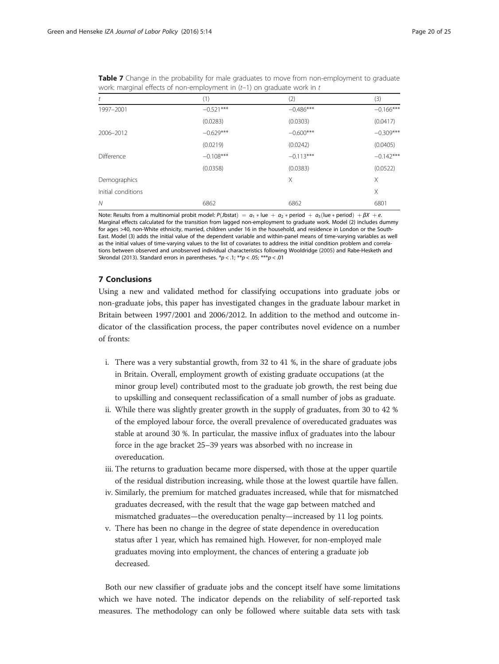| (1)         | (2)         | (3)         |
|-------------|-------------|-------------|
| $-0.521***$ | $-0.486***$ | $-0.166***$ |
| (0.0283)    | (0.0303)    | (0.0417)    |
| $-0.629***$ | $-0.600***$ | $-0.309***$ |
| (0.0219)    | (0.0242)    | (0.0405)    |
| $-0.108***$ | $-0.113***$ | $-0.142***$ |
| (0.0358)    | (0.0383)    | (0.0522)    |
|             | Χ           | Χ           |
|             |             | X           |
| 6862        | 6862        | 6801        |
|             |             |             |

<span id="page-19-0"></span>Table 7 Change in the probability for male graduates to move from non-employment to graduate work: marginal effects of non-employment in  $(t-1)$  on graduate work in t

Note: Results from a multinomial probit model:  $P(\text{Jbstat}) = a_1 * \text{lle} + a_2 * \text{period} + a_3(\text{lle} * \text{period}) + \beta X + e$ . Marginal effects calculated for the transition from lagged non-employment to graduate work. Model (2) includes dummy for ages >40, non-White ethnicity, married, children under 16 in the household, and residence in London or the South-East. Model (3) adds the initial value of the dependent variable and within-panel means of time-varying variables as well as the initial values of time-varying values to the list of covariates to address the initial condition problem and correlations between observed and unobserved individual characteristics following Wooldridge [\(2005\)](#page-24-0) and Rabe-Hesketh and Skrondal [\(2013\)](#page-23-0). Standard errors in parentheses.  $p < 0.1$ ;  $p \times 0.05$ ;  $p \times 0.01$ 

#### 7 Conclusions

Using a new and validated method for classifying occupations into graduate jobs or non-graduate jobs, this paper has investigated changes in the graduate labour market in Britain between 1997/2001 and 2006/2012. In addition to the method and outcome indicator of the classification process, the paper contributes novel evidence on a number of fronts:

- i. There was a very substantial growth, from 32 to 41 %, in the share of graduate jobs in Britain. Overall, employment growth of existing graduate occupations (at the minor group level) contributed most to the graduate job growth, the rest being due to upskilling and consequent reclassification of a small number of jobs as graduate.
- ii. While there was slightly greater growth in the supply of graduates, from 30 to 42 % of the employed labour force, the overall prevalence of overeducated graduates was stable at around 30 %. In particular, the massive influx of graduates into the labour force in the age bracket 25–39 years was absorbed with no increase in overeducation.
- iii. The returns to graduation became more dispersed, with those at the upper quartile of the residual distribution increasing, while those at the lowest quartile have fallen.
- iv. Similarly, the premium for matched graduates increased, while that for mismatched graduates decreased, with the result that the wage gap between matched and mismatched graduates—the overeducation penalty—increased by 11 log points.
- v. There has been no change in the degree of state dependence in overeducation status after 1 year, which has remained high. However, for non-employed male graduates moving into employment, the chances of entering a graduate job decreased.

Both our new classifier of graduate jobs and the concept itself have some limitations which we have noted. The indicator depends on the reliability of self-reported task measures. The methodology can only be followed where suitable data sets with task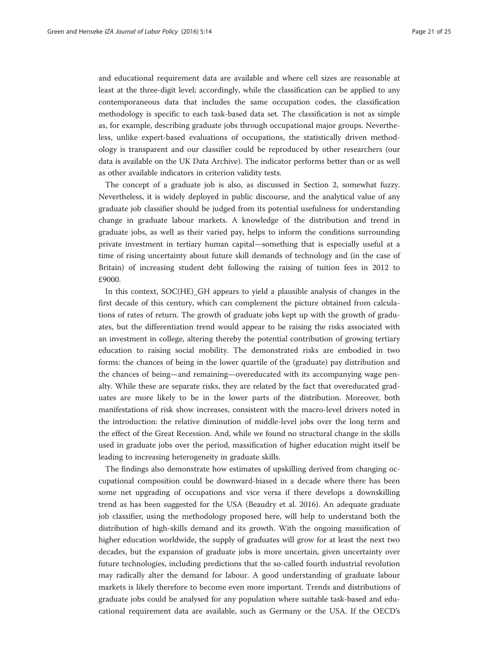and educational requirement data are available and where cell sizes are reasonable at least at the three-digit level; accordingly, while the classification can be applied to any contemporaneous data that includes the same occupation codes, the classification methodology is specific to each task-based data set. The classification is not as simple as, for example, describing graduate jobs through occupational major groups. Nevertheless, unlike expert-based evaluations of occupations, the statistically driven methodology is transparent and our classifier could be reproduced by other researchers (our data is available on the UK Data Archive). The indicator performs better than or as well as other available indicators in criterion validity tests.

The concept of a graduate job is also, as discussed in Section [2,](#page-2-0) somewhat fuzzy. Nevertheless, it is widely deployed in public discourse, and the analytical value of any graduate job classifier should be judged from its potential usefulness for understanding change in graduate labour markets. A knowledge of the distribution and trend in graduate jobs, as well as their varied pay, helps to inform the conditions surrounding private investment in tertiary human capital—something that is especially useful at a time of rising uncertainty about future skill demands of technology and (in the case of Britain) of increasing student debt following the raising of tuition fees in 2012 to £9000.

In this context, SOC(HE)\_GH appears to yield a plausible analysis of changes in the first decade of this century, which can complement the picture obtained from calculations of rates of return. The growth of graduate jobs kept up with the growth of graduates, but the differentiation trend would appear to be raising the risks associated with an investment in college, altering thereby the potential contribution of growing tertiary education to raising social mobility. The demonstrated risks are embodied in two forms: the chances of being in the lower quartile of the (graduate) pay distribution and the chances of being—and remaining—overeducated with its accompanying wage penalty. While these are separate risks, they are related by the fact that overeducated graduates are more likely to be in the lower parts of the distribution. Moreover, both manifestations of risk show increases, consistent with the macro-level drivers noted in the introduction: the relative diminution of middle-level jobs over the long term and the effect of the Great Recession. And, while we found no structural change in the skills used in graduate jobs over the period, massification of higher education might itself be leading to increasing heterogeneity in graduate skills.

The findings also demonstrate how estimates of upskilling derived from changing occupational composition could be downward-biased in a decade where there has been some net upgrading of occupations and vice versa if there develops a downskilling trend as has been suggested for the USA (Beaudry et al. [2016](#page-22-0)). An adequate graduate job classifier, using the methodology proposed here, will help to understand both the distribution of high-skills demand and its growth. With the ongoing massification of higher education worldwide, the supply of graduates will grow for at least the next two decades, but the expansion of graduate jobs is more uncertain, given uncertainty over future technologies, including predictions that the so-called fourth industrial revolution may radically alter the demand for labour. A good understanding of graduate labour markets is likely therefore to become even more important. Trends and distributions of graduate jobs could be analysed for any population where suitable task-based and educational requirement data are available, such as Germany or the USA. If the OECD's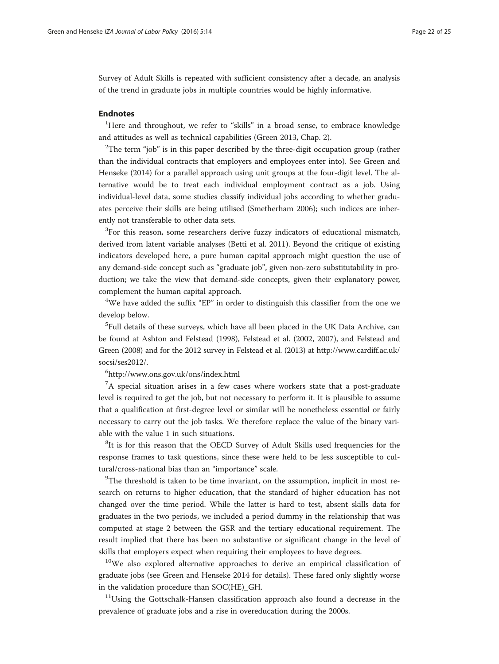Survey of Adult Skills is repeated with sufficient consistency after a decade, an analysis of the trend in graduate jobs in multiple countries would be highly informative.

#### Endnotes

<sup>1</sup>Here and throughout, we refer to "skills" in a broad sense, to embrace knowledge and attitudes as well as technical capabilities (Green [2013](#page-23-0), Chap. 2).

 $2$ The term "job" is in this paper described by the three-digit occupation group (rather than the individual contracts that employers and employees enter into). See Green and Henseke ([2014](#page-23-0)) for a parallel approach using unit groups at the four-digit level. The alternative would be to treat each individual employment contract as a job. Using individual-level data, some studies classify individual jobs according to whether graduates perceive their skills are being utilised (Smetherham [2006\)](#page-24-0); such indices are inherently not transferable to other data sets.

 $3$ For this reason, some researchers derive fuzzy indicators of educational mismatch, derived from latent variable analyses (Betti et al. [2011](#page-22-0)). Beyond the critique of existing indicators developed here, a pure human capital approach might question the use of any demand-side concept such as "graduate job", given non-zero substitutability in production; we take the view that demand-side concepts, given their explanatory power, complement the human capital approach.

<sup>4</sup>We have added the suffix "EP" in order to distinguish this classifier from the one we develop below.

<sup>5</sup>Full details of these surveys, which have all been placed in the UK Data Archive, can be found at Ashton and Felstead [\(1998\)](#page-22-0), Felstead et al. [\(2002](#page-23-0), [2007](#page-23-0)), and Felstead and Green [\(2008\)](#page-23-0) and for the 2012 survey in Felstead et al. ([2013\)](#page-23-0) at [http://www.cardiff.ac.uk/](http://www.cardiff.ac.uk/socsi/ses2012/) [socsi/ses2012/.](http://www.cardiff.ac.uk/socsi/ses2012/)

### 6 <http://www.ons.gov.uk/ons/index.html>

 $7A$  special situation arises in a few cases where workers state that a post-graduate level is required to get the job, but not necessary to perform it. It is plausible to assume that a qualification at first-degree level or similar will be nonetheless essential or fairly necessary to carry out the job tasks. We therefore replace the value of the binary variable with the value 1 in such situations.

<sup>8</sup>It is for this reason that the OECD Survey of Adult Skills used frequencies for the response frames to task questions, since these were held to be less susceptible to cultural/cross-national bias than an "importance" scale.

<sup>9</sup>The threshold is taken to be time invariant, on the assumption, implicit in most research on returns to higher education, that the standard of higher education has not changed over the time period. While the latter is hard to test, absent skills data for graduates in the two periods, we included a period dummy in the relationship that was computed at stage 2 between the GSR and the tertiary educational requirement. The result implied that there has been no substantive or significant change in the level of skills that employers expect when requiring their employees to have degrees.

<sup>10</sup>We also explored alternative approaches to derive an empirical classification of graduate jobs (see Green and Henseke [2014](#page-23-0) for details). These fared only slightly worse in the validation procedure than SOC(HE)\_GH.

<sup>11</sup>Using the Gottschalk-Hansen classification approach also found a decrease in the prevalence of graduate jobs and a rise in overeducation during the 2000s.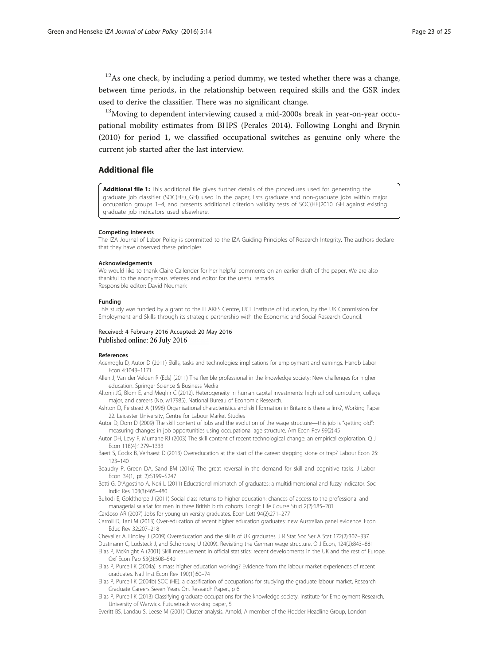<span id="page-22-0"></span> $12$ As one check, by including a period dummy, we tested whether there was a change, between time periods, in the relationship between required skills and the GSR index used to derive the classifier. There was no significant change.

<sup>13</sup>Moving to dependent interviewing caused a mid-2000s break in year-on-year occupational mobility estimates from BHPS (Perales [2014\)](#page-23-0). Following Longhi and Brynin ([2010](#page-23-0)) for period 1, we classified occupational switches as genuine only where the current job started after the last interview.

#### Additional file

[Additional file 1:](dx.doi.org/10.1186/s40173-016-0070-0) This additional file gives further details of the procedures used for generating the graduate job classifier (SOC(HE)\_GH) used in the paper, lists graduate and non-graduate jobs within major occupation groups 1–4, and presents additional criterion validity tests of SOC(HE)2010\_GH against existing graduate job indicators used elsewhere.

#### Competing interests

The IZA Journal of Labor Policy is committed to the IZA Guiding Principles of Research Integrity. The authors declare that they have observed these principles.

#### Acknowledgements

We would like to thank Claire Callender for her helpful comments on an earlier draft of the paper. We are also thankful to the anonymous referees and editor for the useful remarks. Responsible editor: David Neumark

#### Funding

This study was funded by a grant to the LLAKES Centre, UCL Institute of Education, by the UK Commission for Employment and Skills through its strategic partnership with the Economic and Social Research Council.

#### Received: 4 February 2016 Accepted: 20 May 2016 Published online: 26 July 2016

#### References

Acemoglu D, Autor D (2011) Skills, tasks and technologies: implications for employment and earnings. Handb Labor Econ 4:1043–1171

Allen J, Van der Velden R (Eds) (2011) The flexible professional in the knowledge society: New challenges for higher education. Springer Science & Business Media

Altonji JG, Blom E, and Meghir C (2012). Heterogeneity in human capital investments: high school curriculum, college major, and careers (No. w17985). National Bureau of Economic Research.

Ashton D, Felstead A (1998) Organisational characteristics and skill formation in Britain: is there a link?, Working Paper 22. Leicester University, Centre for Labour Market Studies

Autor D, Dorn D (2009) The skill content of jobs and the evolution of the wage structure—this job is "getting old": measuring changes in job opportunities using occupational age structure. Am Econ Rev 99(2):45

Autor DH, Levy F, Murnane RJ (2003) The skill content of recent technological change: an empirical exploration. Q J Econ 118(4):1279–1333

Baert S, Cockx B, Verhaest D (2013) Overeducation at the start of the career: stepping stone or trap? Labour Econ 25: 123–140

Beaudry P, Green DA, Sand BM (2016) The great reversal in the demand for skill and cognitive tasks. J Labor Econ 34(1, pt 2):S199–S247

Betti G, D'Agostino A, Neri L (2011) Educational mismatch of graduates: a multidimensional and fuzzy indicator. Soc Indic Res 103(3):465–480

Bukodi E, Goldthorpe J (2011) Social class returns to higher education: chances of access to the professional and managerial salariat for men in three British birth cohorts. Longit Life Course Stud 2(2):185–201

Cardoso AR (2007) Jobs for young university graduates. Econ Lett 94(2):271–277

Carroll D, Tani M (2013) Over-education of recent higher education graduates: new Australian panel evidence. Econ Educ Rev 32:207–218

Chevalier A, Lindley J (2009) Overeducation and the skills of UK graduates. J R Stat Soc Ser A Stat 172(2):307–337

Dustmann C, Ludsteck J, and Schönberg U (2009). Revisiting the German wage structure. Q J Econ, 124(2):843–881 Elias P, McKnight A (2001) Skill measurement in official statistics: recent developments in the UK and the rest of Europe. Oxf Econ Pap 53(3):508–540

Elias P, Purcell K (2004a) Is mass higher education working? Evidence from the labour market experiences of recent graduates. Natl Inst Econ Rev 190(1):60–74

Elias P, Purcell K (2004b) SOC (HE): a classification of occupations for studying the graduate labour market, Research Graduate Careers Seven Years On, Research Paper., p 6

Elias P, Purcell K (2013) Classifying graduate occupations for the knowledge society, Institute for Employment Research. University of Warwick. Futuretrack working paper, 5

Everitt BS, Landau S, Leese M (2001) Cluster analysis. Arnold, A member of the Hodder Headline Group, London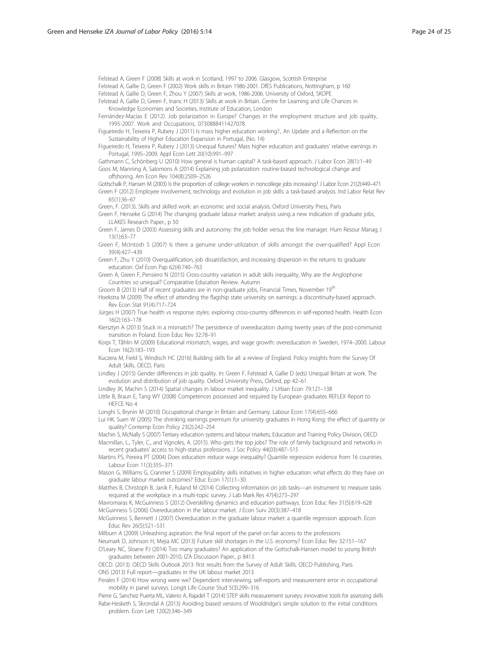<span id="page-23-0"></span>Felstead A, Green F (2008) Skills at work in Scotland, 1997 to 2006. Glasgow, Scottish Enterprise

Felstead A, Gallie D, Green F (2002) Work skills in Britain 1986-2001. DfES Publications, Nottingham, p 160

Felstead A, Gallie D, Green F, Zhou Y (2007) Skills at work, 1986-2006. University of Oxford, SKOPE

Felstead A, Gallie D, Green F, Inanc H (2013) Skills at work in Britain. Centre for Learning and Life Chances in Knowledge Economies and Societies, Institute of Education, London

Fernández-Macías E (2012). Job polarization in Europe? Changes in the employment structure and job quality, 1995-2007. Work and Occupations, 0730888411427078.

Figueiredo H, Teixeira P, Rubery J (2011) Is mass higher education working?., An Update and a Reflection on the Sustainability of Higher Education Expansion in Portugal, (No. 14)

Figueiredo H, Teixeira P, Rubery J (2013) Unequal futures? Mass higher education and graduates' relative earnings in Portugal, 1995–2009. Appl Econ Lett 20(10):991–997

Gathmann C, Schönberg U (2010) How general is human capital? A task-based approach. J Labor Econ 28(1):1–49 Goos M, Manning A, Salomons A (2014) Explaining job polarization: routine-biased technological change and offshoring. Am Econ Rev 104(8):2509–2526

Gottschalk P, Hansen M (2003) Is the proportion of college workers in noncollege jobs increasing? J Labor Econ 21(2):449–471 Green F (2012) Employee involvement, technology and evolution in job skills: a task-based analysis. Ind Labor Relat Rev 65(1):36–67

Green, F. (2013). Skills and skilled work: an economic and social analysis. Oxford University Press, Paris

Green F, Henseke G (2014) The changing graduate labour market: analysis using a new indication of graduate jobs, LLAKES Research Paper., p 50

Green F, James D (2003) Assessing skills and autonomy: the job holder versus the line manager. Hum Resour Manag J 13(1):63–77

Green F, McIntosh S (2007) Is there a genuine under-utilization of skills amongst the over-qualified? Appl Econ 39(4):427–439

Green F, Zhu Y (2010) Overqualification, job dissatisfaction, and increasing dispersion in the returns to graduate education. Oxf Econ Pap 62(4):740–763

Green A, Green F, Pensiero N (2015) Cross-country variation in adult skills inequality, Why are the Anglophone Countries so unequal? Comparative Education Review. Autumn

Groom B (2013) Half of recent graduates are in non-graduate jobs, Financial Times, November 19<sup>th</sup>

Hoekstra M (2009) The effect of attending the flagship state university on earnings: a discontinuity-based approach. Rev Econ Stat 91(4):717–724

Jürges H (2007) True health vs response styles: exploring cross-country differences in self-reported health. Health Econ 16(2):163–178

Kiersztyn A (2013) Stuck in a mismatch? The persistence of overeducation during twenty years of the post-communist transition in Poland. Econ Educ Rev 32:78–91

Korpi T, Tåhlin M (2009) Educational mismatch, wages, and wage growth: overeducation in Sweden, 1974–2000. Labour Econ 16(2):183–193

Kuczera M, Field S, Windisch HC (2016) Building skills for all: a review of England. Policy insights from the Survey Of Adult Skills. OECD, Paris

Lindley J (2015) Gender differences in job quality. In: Green F, Felstead A, Gallie D (eds) Unequal Britain at work. The evolution and distribution of job quality. Oxford University Press, Oxford, pp 42–61

Lindley JK, Machin S (2014) Spatial changes in labour market inequality. J Urban Econ 79:121–138

Little B, Braun E, Tang WY (2008) Competences possessed and required by European graduates REFLEX Report to HEFCE No 4

Longhi S, Brynin M (2010) Occupational change in Britain and Germany. Labour Econ 17(4):655–666

Lui HK, Suen W (2005) The shrinking earnings premium for university graduates in Hong Kong: the effect of quantity or quality? Contemp Econ Policy 23(2):242–254

Machin S, McNally S (2007) Tertiary education systems and labour markets, Education and Training Policy Division, OECD

Macmillan, L., Tyler, C., and Vignoles, A. (2015). Who gets the top jobs? The role of family background and networks in recent graduates' access to high-status professions. J Soc Policy 44(03):487–515

Martins PS, Pereira PT (2004) Does education reduce wage inequality? Quantile regression evidence from 16 countries. Labour Econ 11(3):355–371

Mason G, Williams G, Cranmer S (2009) Employability skills initiatives in higher education: what effects do they have on graduate labour market outcomes? Educ Econ 17(1):1–30

Matthes B, Christoph B, Janik F, Ruland M (2014) Collecting information on job tasks—an instrument to measure tasks required at the workplace in a multi-topic survey. J Lab Mark Res 47(4):273–297

Mavromaras K, McGuinness S (2012) Overskilling dynamics and education pathways. Econ Educ Rev 31(5):619–628 McGuinness S (2006) Overeducation in the labour market. J Econ Surv 20(3):387–418

McGuinness S, Bennett J (2007) Overeducation in the graduate labour market: a quantile regression approach. Econ Educ Rev 26(5):521–531

Milburn A (2009) Unleashing aspiration: the final report of the panel on fair access to the professions

Neumark D, Johnson H, Mejia MC (2013) Future skill shortages in the U.S. economy? Econ Educ Rev 32:151–167

O'Leary NC, Sloane PJ (2014) Too many graduates? An application of the Gottschalk-Hansen model to young British graduates between 2001-2010, IZA Discussion Paper., p 8413

OECD. (2013). OECD Skills Outlook 2013: first results from the Survey of Adult Skills. OECD Publishing, Paris ONS (2013) Full report—graduates in the UK labour market 2013

Perales F (2014) How wrong were we? Dependent interviewing, self-reports and measurement error in occupational mobility in panel surveys. Longit Life Course Stud 5(3):299–316

Pierre G, Sanchez Puerta ML, Valerio A, Rajadel T (2014) STEP skills measurement surveys: innovative tools for assessing skills Rabe-Hesketh S, Skrondal A (2013) Avoiding biased versions of Wooldridge's simple solution to the initial conditions problem. Econ Lett 120(2):346–349